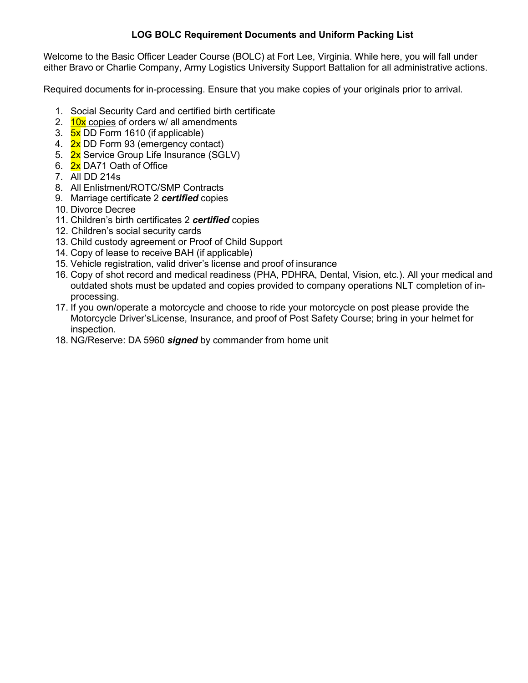## **LOG BOLC Requirement Documents and Uniform Packing List**

Welcome to the Basic Officer Leader Course (BOLC) at Fort Lee, Virginia. While here, you will fall under either Bravo or Charlie Company, Army Logistics University Support Battalion for all administrative actions.

Required documents for in-processing. Ensure that you make copies of your originals prior to arrival.

- 1. Social Security Card and certified birth certificate
- 2.  $10x$  copies of orders w/ all amendments
- 3. 5x DD Form 1610 (if applicable)
- 4. **2x** DD Form 93 (emergency contact)
- 5. **2x** Service Group Life Insurance (SGLV)
- 6. 2x DA71 Oath of Office
- 7. All DD 214s
- 8. All Enlistment/ROTC/SMP Contracts
- 9. Marriage certificate 2 *certified* copies
- 10. Divorce Decree
- 11. Children's birth certificates 2 *certified* copies
- 12. Children's social security cards
- 13. Child custody agreement or Proof of Child Support
- 14. Copy of lease to receive BAH (if applicable)
- 15. Vehicle registration, valid driver's license and proof of insurance
- 16. Copy of shot record and medical readiness (PHA, PDHRA, Dental, Vision, etc.). All your medical and outdated shots must be updated and copies provided to company operations NLT completion of inprocessing.
- 17. If you own/operate a motorcycle and choose to ride your motorcycle on post please provide the Motorcycle Driver'sLicense, Insurance, and proof of Post Safety Course; bring in your helmet for inspection.
- 18. NG/Reserve: DA 5960 *signed* by commander from home unit